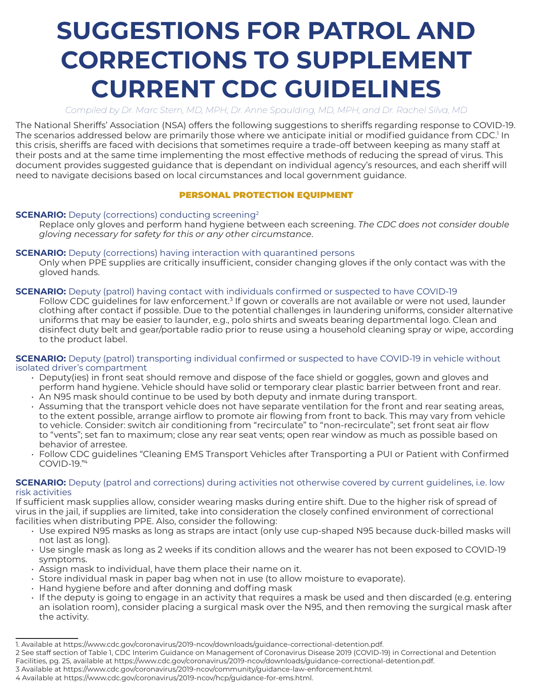# **SUGGESTIONS FOR PATROL AND CORRECTIONS TO SUPPLEMENT CURRENT CDC GUIDELINES**

*Compiled by Dr. Marc Stern, MD, MPH; Dr. Anne Spaulding, MD, MPH; and Dr. Rachel Silva, MD*

The National Sheriffs' Association (NSA) offers the following suggestions to sheriffs regarding response to COVID-19. The scenarios addressed below are primarily those where we anticipate initial or modified guidance from CDC.<sup>1</sup> In this crisis, sheriffs are faced with decisions that sometimes require a trade-off between keeping as many staff at their posts and at the same time implementing the most effective methods of reducing the spread of virus. This document provides suggested guidance that is dependant on individual agency's resources, and each sheriff will need to navigate decisions based on local circumstances and local government guidance.

#### PERSONAL PROTECTION EQUIPMENT

#### **SCENARIO:** Deputy (corrections) conducting screening<sup>2</sup>

Replace only gloves and perform hand hygiene between each screening. *The CDC does not consider double gloving necessary for safety for this or any other circumstance*.

#### **SCENARIO:** Deputy (corrections) having interaction with quarantined persons

Only when PPE supplies are critically insufficient, consider changing gloves if the only contact was with the gloved hands.

#### **SCENARIO:** Deputy (patrol) having contact with individuals confirmed or suspected to have COVID-19

Follow CDC guidelines for law enforcement.<sup>3</sup> If gown or coveralls are not available or were not used, launder clothing after contact if possible. Due to the potential challenges in laundering uniforms, consider alternative uniforms that may be easier to launder, e.g., polo shirts and sweats bearing departmental logo. Clean and disinfect duty belt and gear/portable radio prior to reuse using a household cleaning spray or wipe, according to the product label.

**SCENARIO:** Deputy (patrol) transporting individual confirmed or suspected to have COVID-19 in vehicle without isolated driver's compartment

- Deputy(ies) in front seat should remove and dispose of the face shield or goggles, gown and gloves and perform hand hygiene. Vehicle should have solid or temporary clear plastic barrier between front and rear.
- An N95 mask should continue to be used by both deputy and inmate during transport.
- Assuming that the transport vehicle does not have separate ventilation for the front and rear seating areas, to the extent possible, arrange airflow to promote air flowing from front to back. This may vary from vehicle to vehicle. Consider: switch air conditioning from "recirculate" to "non-recirculate"; set front seat air flow to "vents"; set fan to maximum; close any rear seat vents; open rear window as much as possible based on behavior of arrestee.
- Follow CDC guidelines "Cleaning EMS Transport Vehicles after Transporting a PUI or Patient with Confirmed COVID-19."4

#### **SCENARIO:** Deputy (patrol and corrections) during activities not otherwise covered by current guidelines, i.e. low risk activities

If sufficient mask supplies allow, consider wearing masks during entire shift. Due to the higher risk of spread of virus in the jail, if supplies are limited, take into consideration the closely confined environment of correctional facilities when distributing PPE. Also, consider the following:

- Use expired N95 masks as long as straps are intact (only use cup-shaped N95 because duck-billed masks will not last as long).
- Use single mask as long as 2 weeks if its condition allows and the wearer has not been exposed to COVID-19 symptoms.
- Assign mask to individual, have them place their name on it.
- Store individual mask in paper bag when not in use (to allow moisture to evaporate).
- Hand hygiene before and after donning and doffing mask
- If the deputy is going to engage in an activity that requires a mask be used and then discarded (e.g. entering an isolation room), consider placing a surgical mask over the N95, and then removing the surgical mask after the activity.

<sup>1.</sup> Available at https://www.cdc.gov/coronavirus/2019-ncov/downloads/guidance-correctional-detention.pdf.

<sup>2</sup> See staff section of Table 1, CDC Interim Guidance on Management of Coronavirus Disease 2019 (COVID-19) in Correctional and Detention Facilities, pg. 25, available at https://www.cdc.gov/coronavirus/2019-ncov/downloads/guidance-correctional-detention.pdf.

<sup>3</sup> Available at https://www.cdc.gov/coronavirus/2019-ncov/community/guidance-law-enforcement.html.

<sup>4</sup> Available at https://www.cdc.gov/coronavirus/2019-ncov/hcp/guidance-for-ems.html.